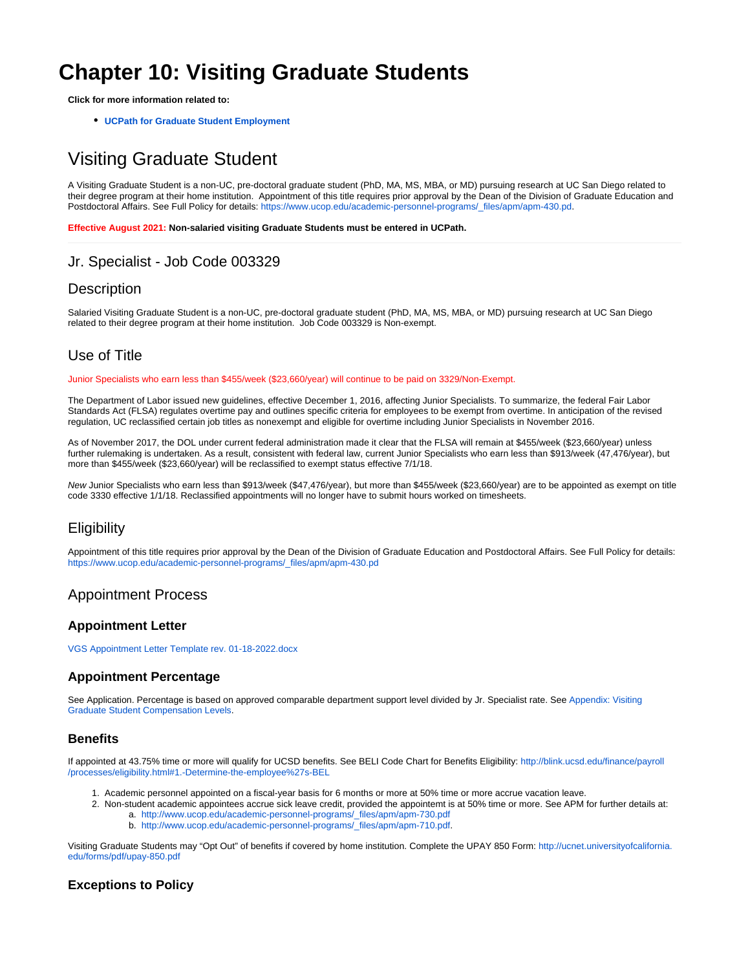# **Chapter 10: Visiting Graduate Students**

**Click for more information related to:**

**[UCPath for Graduate Student Employment](https://collab.ucsd.edu/display/GDCP/UCPath+for+Graduate+Student+Employment)**

## Visiting Graduate Student

A Visiting Graduate Student is a non-UC, pre-doctoral graduate student (PhD, MA, MS, MBA, or MD) pursuing research at UC San Diego related to their degree program at their home institution. Appointment of this title requires prior approval by the Dean of the Division of Graduate Education and Postdoctoral Affairs. See Full Policy for details: [https://www.ucop.edu/academic-personnel-programs/\\_files/apm/apm-430.pd.](https://www.ucop.edu/academic-personnel-programs/_files/apm/apm-430.pdf)

**Effective August 2021: Non-salaried visiting Graduate Students must be entered in UCPath.**

## Jr. Specialist - Job Code 003329

## **Description**

Salaried Visiting Graduate Student is a non-UC, pre-doctoral graduate student (PhD, MA, MS, MBA, or MD) pursuing research at UC San Diego related to their degree program at their home institution. Job Code 003329 is Non-exempt.

## Use of Title

Junior Specialists who earn less than \$455/week (\$23,660/year) will continue to be paid on 3329/Non-Exempt.

The Department of Labor issued new guidelines, effective December 1, 2016, affecting Junior Specialists. To summarize, the federal Fair Labor Standards Act (FLSA) regulates overtime pay and outlines specific criteria for employees to be exempt from overtime. In anticipation of the revised regulation, UC reclassified certain job titles as nonexempt and eligible for overtime including Junior Specialists in November 2016.

As of November 2017, the DOL under current federal administration made it clear that the FLSA will remain at \$455/week (\$23,660/year) unless further rulemaking is undertaken. As a result, consistent with federal law, current Junior Specialists who earn less than \$913/week (47,476/year), but more than \$455/week (\$23,660/year) will be reclassified to exempt status effective 7/1/18.

New Junior Specialists who earn less than \$913/week (\$47,476/year), but more than \$455/week (\$23,660/year) are to be appointed as exempt on title code 3330 effective 1/1/18. Reclassified appointments will no longer have to submit hours worked on timesheets.

## **Eligibility**

Appointment of this title requires prior approval by the Dean of the Division of Graduate Education and Postdoctoral Affairs. See Full Policy for details: [https://www.ucop.edu/academic-personnel-programs/\\_files/apm/apm-430.pd](https://www.ucop.edu/academic-personnel-programs/_files/apm/apm-430.pdf)

## Appointment Process

#### **Appointment Letter**

[VGS Appointment Letter Template rev. 01-18-2022.docx](https://collab.ucsd.edu/download/attachments/97872827/VGS%20Appointment%20Letter%20Template%20rev.%2001-18-2022.docx?version=1&modificationDate=1642539790000&api=v2)

### **Appointment Percentage**

See Application. Percentage is based on approved comparable department support level divided by Jr. Specialist rate. See [Appendix: Visiting](https://collab.ucsd.edu/display/GDCP/Appendix%3A+Visiting+Graduate+Student+Compensation+Levels)  [Graduate Student Compensation Levels.](https://collab.ucsd.edu/display/GDCP/Appendix%3A+Visiting+Graduate+Student+Compensation+Levels)

#### **Benefits**

If appointed at 43.75% time or more will qualify for UCSD benefits. See BELI Code Chart for Benefits Eligibility: [http://blink.ucsd.edu/finance/payroll](http://blink.ucsd.edu/finance/payroll/processes/eligibility.html#1.-Determine-the-employee%27s-BEL) [/processes/eligibility.html#1.-Determine-the-employee%27s-BEL](http://blink.ucsd.edu/finance/payroll/processes/eligibility.html#1.-Determine-the-employee%27s-BEL)

- 1. Academic personnel appointed on a fiscal-year basis for 6 months or more at 50% time or more accrue vacation leave.
- 2. Non-student academic appointees accrue sick leave credit, provided the appointemt is at 50% time or more. See APM for further details at: a. [http://www.ucop.edu/academic-personnel-programs/\\_files/apm/apm-730.pdf](http://www.ucop.edu/academic-personnel-programs/_files/apm/apm-730.pdf)
	- b. [http://www.ucop.edu/academic-personnel-programs/\\_files/apm/apm-710.pdf.](http://www.ucop.edu/academic-personnel-programs/_files/apm/apm-710.pdf)

Visiting Graduate Students may "Opt Out" of benefits if covered by home institution. Complete the UPAY 850 Form: [http://ucnet.universityofcalifornia.](http://ucnet.universityofcalifornia.edu/forms/pdf/upay-850.pdf) [edu/forms/pdf/upay-850.pdf](http://ucnet.universityofcalifornia.edu/forms/pdf/upay-850.pdf)

### **Exceptions to Policy**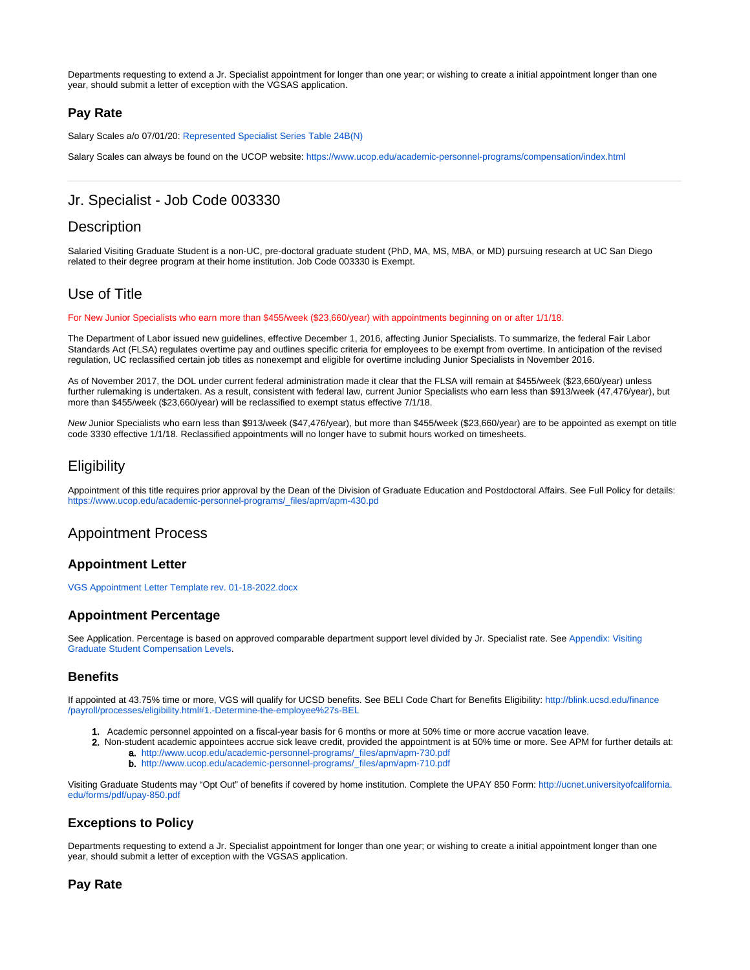Departments requesting to extend a Jr. Specialist appointment for longer than one year; or wishing to create a initial appointment longer than one year, should submit a letter of exception with the VGSAS application.

#### **Pay Rate**

Salary Scales a/o 07/01/20: [Represented Specialist Series Table 24B\(N\)](https://www.ucop.edu/academic-personnel-programs/_files/2022/july-2021-scales/t24-b.pdf)

Salary Scales can always be found on the UCOP website:<https://www.ucop.edu/academic-personnel-programs/compensation/index.html>

## Jr. Specialist - Job Code 003330

## **Description**

Salaried Visiting Graduate Student is a non-UC, pre-doctoral graduate student (PhD, MA, MS, MBA, or MD) pursuing research at UC San Diego related to their degree program at their home institution. Job Code 003330 is Exempt.

## Use of Title

For New Junior Specialists who earn more than \$455/week (\$23,660/year) with appointments beginning on or after 1/1/18.

The Department of Labor issued new guidelines, effective December 1, 2016, affecting Junior Specialists. To summarize, the federal Fair Labor Standards Act (FLSA) regulates overtime pay and outlines specific criteria for employees to be exempt from overtime. In anticipation of the revised regulation, UC reclassified certain job titles as nonexempt and eligible for overtime including Junior Specialists in November 2016.

As of November 2017, the DOL under current federal administration made it clear that the FLSA will remain at \$455/week (\$23,660/year) unless further rulemaking is undertaken. As a result, consistent with federal law, current Junior Specialists who earn less than \$913/week (47,476/year), but more than \$455/week (\$23,660/year) will be reclassified to exempt status effective 7/1/18.

New Junior Specialists who earn less than \$913/week (\$47,476/year), but more than \$455/week (\$23,660/year) are to be appointed as exempt on title code 3330 effective 1/1/18. Reclassified appointments will no longer have to submit hours worked on timesheets.

#### **Eligibility**

Appointment of this title requires prior approval by the Dean of the Division of Graduate Education and Postdoctoral Affairs. See Full Policy for details: [https://www.ucop.edu/academic-personnel-programs/\\_files/apm/apm-430.pd](https://www.ucop.edu/academic-personnel-programs/_files/apm/apm-430.pdf)

### Appointment Process

#### **Appointment Letter**

[VGS Appointment Letter Template rev. 01-18-2022.docx](https://collab.ucsd.edu/download/attachments/97872827/VGS%20Appointment%20Letter%20Template%20rev.%2001-18-2022.docx?version=1&modificationDate=1642539790000&api=v2)

#### **Appointment Percentage**

See Application. Percentage is based on approved comparable department support level divided by Jr. Specialist rate. See Appendix: Visiting [Graduate Student Compensation Levels.](https://collab.ucsd.edu/display/GDCP/Appendix%3A+Visiting+Graduate+Student+Compensation+Levels)

#### **Benefits**

If appointed at 43.75% time or more, VGS will qualify for UCSD benefits. See BELI Code Chart for Benefits Eligibility: [http://blink.ucsd.edu/finance](http://blink.ucsd.edu/finance/payroll/processes/eligibility.html#1.-Determine-the-employee%27s-BEL) [/payroll/processes/eligibility.html#1.-Determine-the-employee%27s-BEL](http://blink.ucsd.edu/finance/payroll/processes/eligibility.html#1.-Determine-the-employee%27s-BEL)

- 1. Academic personnel appointed on a fiscal-year basis for 6 months or more at 50% time or more accrue vacation leave.
- 2. Non-student academic appointees accrue sick leave credit, provided the appointment is at 50% time or more. See APM for further details at: a. [http://www.ucop.edu/academic-personnel-programs/\\_files/apm/apm-730.pdf](http://www.ucop.edu/academic-personnel-programs/_files/apm/apm-730.pdf)
	- b. [http://www.ucop.edu/academic-personnel-programs/\\_files/apm/apm-710.pdf](http://www.ucop.edu/academic-personnel-programs/_files/apm/apm-710.pdf)

Visiting Graduate Students may "Opt Out" of benefits if covered by home institution. Complete the UPAY 850 Form: [http://ucnet.universityofcalifornia.](http://ucnet.universityofcalifornia.edu/forms/pdf/upay-850.pdf) [edu/forms/pdf/upay-850.pdf](http://ucnet.universityofcalifornia.edu/forms/pdf/upay-850.pdf)

#### **Exceptions to Policy**

Departments requesting to extend a Jr. Specialist appointment for longer than one year; or wishing to create a initial appointment longer than one year, should submit a letter of exception with the VGSAS application.

#### **Pay Rate**